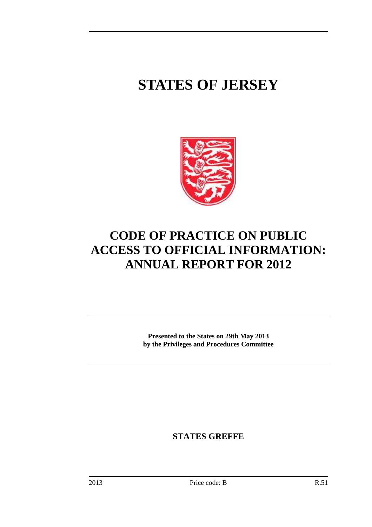# **STATES OF JERSEY**



# **CODE OF PRACTICE ON PUBLIC ACCESS TO OFFICIAL INFORMATION: ANNUAL REPORT FOR 2012**

**Presented to the States on 29th May 2013 by the Privileges and Procedures Committee** 

**STATES GREFFE**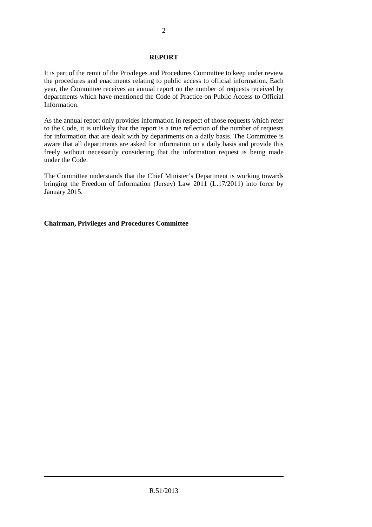### **REPORT**

It is part of the remit of the Privileges and Procedures Committee to keep under review the procedures and enactments relating to public access to official information. Each year, the Committee receives an annual report on the number of requests received by departments which have mentioned the Code of Practice on Public Access to Official Information.

As the annual report only provides information in respect of those requests which refer to the Code, it is unlikely that the report is a true reflection of the number of requests for information that are dealt with by departments on a daily basis. The Committee is aware that all departments are asked for information on a daily basis and provide this freely without necessarily considering that the information request is being made under the Code.

The Committee understands that the Chief Minister's Department is working towards bringing the Freedom of Information (Jersey) Law 2011 (L.17/2011) into force by January 2015.

### **Chairman, Privileges and Procedures Committee**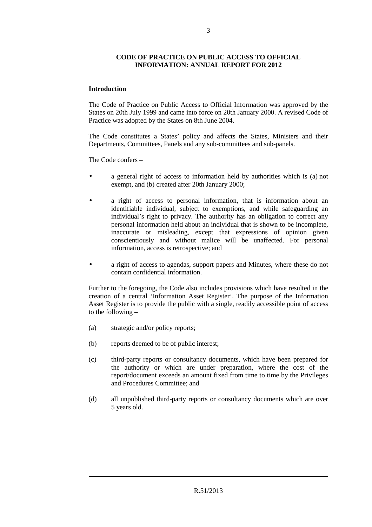### **CODE OF PRACTICE ON PUBLIC ACCESS TO OFFICIAL INFORMATION: ANNUAL REPORT FOR 2012**

## **Introduction**

The Code of Practice on Public Access to Official Information was approved by the States on 20th July 1999 and came into force on 20th January 2000. A revised Code of Practice was adopted by the States on 8th June 2004.

The Code constitutes a States' policy and affects the States, Ministers and their Departments, Committees, Panels and any sub-committees and sub-panels.

The Code confers –

- a general right of access to information held by authorities which is (a) not exempt, and (b) created after 20th January 2000;
- a right of access to personal information, that is information about an identifiable individual, subject to exemptions, and while safeguarding an individual's right to privacy. The authority has an obligation to correct any personal information held about an individual that is shown to be incomplete, inaccurate or misleading, except that expressions of opinion given conscientiously and without malice will be unaffected. For personal information, access is retrospective; and
- a right of access to agendas, support papers and Minutes, where these do not contain confidential information.

Further to the foregoing, the Code also includes provisions which have resulted in the creation of a central 'Information Asset Register'. The purpose of the Information Asset Register is to provide the public with a single, readily accessible point of access to the following  $-$ 

- (a) strategic and/or policy reports;
- (b) reports deemed to be of public interest;
- (c) third-party reports or consultancy documents, which have been prepared for the authority or which are under preparation, where the cost of the report/document exceeds an amount fixed from time to time by the Privileges and Procedures Committee; and
- (d) all unpublished third-party reports or consultancy documents which are over 5 years old.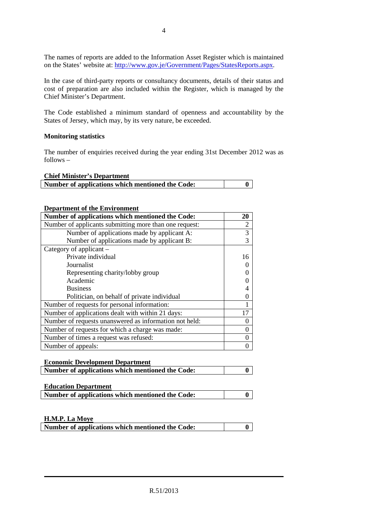The names of reports are added to the Information Asset Register which is maintained on the States' website at: http://www.gov.je/Government/Pages/StatesReports.aspx.

4

In the case of third-party reports or consultancy documents, details of their status and cost of preparation are also included within the Register, which is managed by the Chief Minister's Department.

The Code established a minimum standard of openness and accountability by the States of Jersey, which may, by its very nature, be exceeded.

### **Monitoring statistics**

The number of enquiries received during the year ending 31st December 2012 was as follows –

### **Chief Minister's Department**

| <u> Carrol III.anistove – U 20 v prvi vili Uliv</u> |  |
|-----------------------------------------------------|--|
| Number of applications which mentioned the Code:    |  |
|                                                     |  |

#### **Department of the Environment**

| Number of applications which mentioned the Code:       | 20             |
|--------------------------------------------------------|----------------|
| Number of applicants submitting more than one request: | $\overline{2}$ |
| Number of applications made by applicant A:            | 3              |
| Number of applications made by applicant B:            | 3              |
| Category of applicant $-$                              |                |
| Private individual                                     | 16             |
| Journalist                                             |                |
| Representing charity/lobby group                       |                |
| Academic                                               |                |
| <b>Business</b>                                        |                |
| Politician, on behalf of private individual            |                |
| Number of requests for personal information:           |                |
| Number of applications dealt with within 21 days:      | 17             |
| Number of requests unanswered as information not held: |                |
| Number of requests for which a charge was made:        |                |
| Number of times a request was refused:                 |                |
| Number of appeals:                                     |                |

| <b>Economic Development Department</b>           |  |
|--------------------------------------------------|--|
| Number of applications which mentioned the Code: |  |
|                                                  |  |

| <b>Education Department</b>                      |  |
|--------------------------------------------------|--|
| Number of applications which mentioned the Code: |  |

#### **H.M.P. La Moye**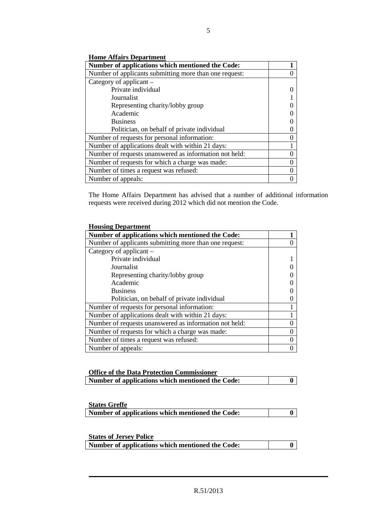**Home Affairs Department**

| Number of applications which mentioned the Code:       |  |
|--------------------------------------------------------|--|
| Number of applicants submitting more than one request: |  |
| Category of applicant –                                |  |
| Private individual                                     |  |
| Journalist                                             |  |
| Representing charity/lobby group                       |  |
| Academic                                               |  |
| <b>Business</b>                                        |  |
| Politician, on behalf of private individual            |  |
| Number of requests for personal information:           |  |
| Number of applications dealt with within 21 days:      |  |
| Number of requests unanswered as information not held: |  |
| Number of requests for which a charge was made:        |  |
| Number of times a request was refused:                 |  |
| Number of appeals:                                     |  |

The Home Affairs Department has advised that a number of additional information requests were received during 2012 which did not mention the Code.

| <b>Housing Department</b>                              |   |
|--------------------------------------------------------|---|
| Number of applications which mentioned the Code:       |   |
| Number of applicants submitting more than one request: |   |
| Category of applicant –                                |   |
| Private individual                                     |   |
| Journalist                                             |   |
| Representing charity/lobby group                       |   |
| Academic                                               |   |
| <b>Business</b>                                        |   |
| Politician, on behalf of private individual            |   |
| Number of requests for personal information:           |   |
| Number of applications dealt with within 21 days:      |   |
| Number of requests unanswered as information not held: | 0 |
| Number of requests for which a charge was made:        | 0 |
| Number of times a request was refused:                 | 0 |
| Number of appeals:                                     |   |

| <b>Office of the Data Protection Commissioner</b> |  |
|---------------------------------------------------|--|
| Number of applications which mentioned the Code:  |  |

| <b>States Greffe</b>                             |  |
|--------------------------------------------------|--|
| Number of applications which mentioned the Code: |  |
|                                                  |  |

| <b>States of Jersey Police</b>                   |  |
|--------------------------------------------------|--|
| Number of applications which mentioned the Code: |  |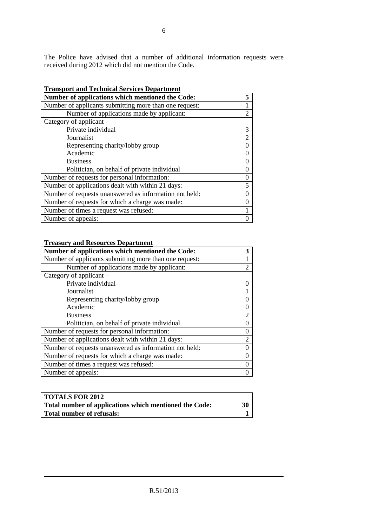The Police have advised that a number of additional information requests were received during 2012 which did not mention the Code.

| Transport and Technical Services Department            |                  |
|--------------------------------------------------------|------------------|
| Number of applications which mentioned the Code:       | 5                |
| Number of applicants submitting more than one request: | 1                |
| Number of applications made by applicant:              | $\mathfrak{D}$   |
| Category of applicant –                                |                  |
| Private individual                                     | 3                |
| Journalist                                             | $\overline{2}$   |
| Representing charity/lobby group                       |                  |
| Academic                                               |                  |
| <b>Business</b>                                        |                  |
| Politician, on behalf of private individual            |                  |
| Number of requests for personal information:           | $\boldsymbol{0}$ |
| Number of applications dealt with within 21 days:      | 5                |
| Number of requests unanswered as information not held: | $\overline{0}$   |
| Number of requests for which a charge was made:        | $\theta$         |
| Number of times a request was refused:                 |                  |
| Number of appeals:                                     |                  |

# **Transport and Technical Services Department**

#### **Treasury and Resources Department**

| Number of applications which mentioned the Code:       | 3              |
|--------------------------------------------------------|----------------|
| Number of applicants submitting more than one request: | 1              |
| Number of applications made by applicant:              | $\overline{2}$ |
| Category of applicant –                                |                |
| Private individual                                     |                |
| Journalist                                             |                |
| Representing charity/lobby group                       |                |
| Academic                                               |                |
| <b>Business</b>                                        |                |
| Politician, on behalf of private individual            |                |
| Number of requests for personal information:           | $\theta$       |
| Number of applications dealt with within 21 days:      | $\overline{2}$ |
| Number of requests unanswered as information not held: |                |
| Number of requests for which a charge was made:        | $\Omega$       |
| Number of times a request was refused:                 |                |
| Number of appeals:                                     |                |

| <b>TOTALS FOR 2012</b>                                 |    |
|--------------------------------------------------------|----|
| Total number of applications which mentioned the Code: | 30 |
| Total number of refusals:                              |    |